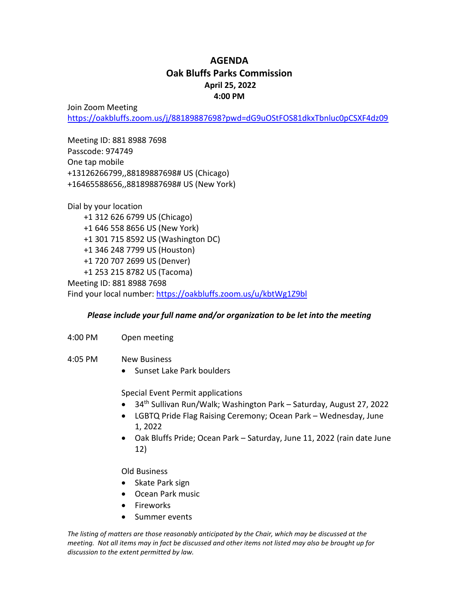## **AGENDA Oak Bluffs Parks Commission April 25, 2022 4:00 PM**

Join Zoom Meeting

<https://oakbluffs.zoom.us/j/88189887698?pwd=dG9uOStFOS81dkxTbnluc0pCSXF4dz09>

Meeting ID: 881 8988 7698 Passcode: 974749 One tap mobile +13126266799,,88189887698# US (Chicago) +16465588656,,88189887698# US (New York)

Dial by your location +1 312 626 6799 US (Chicago) +1 646 558 8656 US (New York) +1 301 715 8592 US (Washington DC) +1 346 248 7799 US (Houston) +1 720 707 2699 US (Denver) +1 253 215 8782 US (Tacoma) Meeting ID: 881 8988 7698

Find your local number:<https://oakbluffs.zoom.us/u/kbtWg1Z9bl>

## *Please include your full name and/or organization to be let into the meeting*

- 4:00 PM Open meeting
- 4:05 PM New Business
	- Sunset Lake Park boulders

Special Event Permit applications

- 34th Sullivan Run/Walk; Washington Park Saturday, August 27, 2022
- LGBTQ Pride Flag Raising Ceremony; Ocean Park Wednesday, June 1, 2022
- Oak Bluffs Pride; Ocean Park Saturday, June 11, 2022 (rain date June 12)

Old Business

- Skate Park sign
- Ocean Park music
- Fireworks
- Summer events

*The listing of matters are those reasonably anticipated by the Chair, which may be discussed at the meeting. Not all items may in fact be discussed and other items not listed may also be brought up for discussion to the extent permitted by law.*